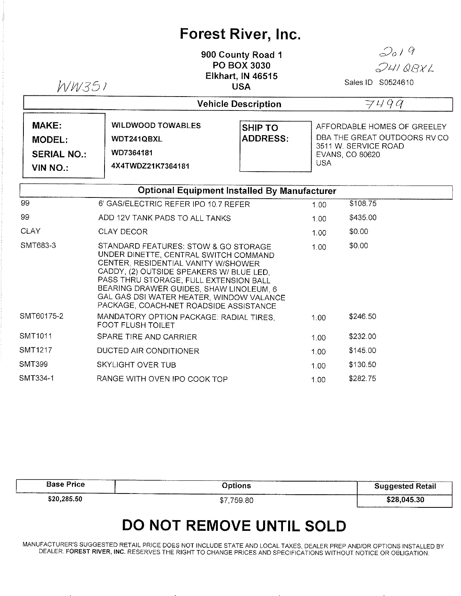## Forest River, lnc.

900 County Road <sup>1</sup> PO BOX 3030 Elkhart, lN 46515 USA  $WW351$  USA Sales ID 50524610

 $2019$ 

 $24108xL$ 

|                                                                        | <b>Vehicle Description</b>                                               |                                   |                                                                                                                      |  |
|------------------------------------------------------------------------|--------------------------------------------------------------------------|-----------------------------------|----------------------------------------------------------------------------------------------------------------------|--|
| <b>MAKE:</b><br><b>MODEL:</b><br><b>SERIAL NO.:</b><br><b>VIN NO.:</b> | <b>WILDWOOD TOWABLES</b><br>WDT241QBXL<br>WD7364181<br>4X4TWDZ21K7364181 | <b>SHIP TO</b><br><b>ADDRESS:</b> | AFFORDABLE HOMES OF GREELEY<br>DBA THE GREAT OUTDOORS RV CO<br>3511 W. SERVICE ROAD<br>EVANS, CO 80620<br><b>USA</b> |  |

| <b>Optional Equipment Installed By Manufacturer</b> |                                                                                                                                                                                                                                                                                                                                             |      |          |  |
|-----------------------------------------------------|---------------------------------------------------------------------------------------------------------------------------------------------------------------------------------------------------------------------------------------------------------------------------------------------------------------------------------------------|------|----------|--|
| 99                                                  | 6' GAS/ELECTRIC REFER IPO 10.7 REFER                                                                                                                                                                                                                                                                                                        | 1.00 | \$108.75 |  |
| 99                                                  | ADD 12V TANK PADS TO ALL TANKS                                                                                                                                                                                                                                                                                                              | 1.00 | \$435.00 |  |
| <b>CLAY</b>                                         | <b>CLAY DECOR</b>                                                                                                                                                                                                                                                                                                                           | 1.00 | \$0.00   |  |
| SMT683-3                                            | STANDARD FEATURES: STOW & GO STORAGE<br>UNDER DINETTE, CENTRAL SWITCH COMMAND<br>CENTER, RESIDENTIAL VANITY W/SHOWER<br>CADDY, (2) OUTSIDE SPEAKERS W/ BLUE LED,<br>PASS THRU STORAGE, FULL EXTENSION BALL<br>BEARING DRAWER GUIDES, SHAW LINOLEUM, 6<br>GAL GAS DSI WATER HEATER, WINDOW VALANCE<br>PACKAGE, COACH-NET ROADSIDE ASSISTANCE | 1.00 | \$0.00   |  |
| SMT60175-2                                          | MANDATORY OPTION PACKAGE: RADIAL TIRES,<br><b>FOOT FLUSH TOILET</b>                                                                                                                                                                                                                                                                         | 1.00 | \$246.50 |  |
| SMT1011                                             | SPARE TIRE AND CARRIER                                                                                                                                                                                                                                                                                                                      | 1.00 | \$232.00 |  |
| <b>SMT1217</b>                                      | DUCTED AIR CONDITIONER                                                                                                                                                                                                                                                                                                                      | 1.00 | \$145.00 |  |
| <b>SMT399</b>                                       | SKYLIGHT OVER TUB                                                                                                                                                                                                                                                                                                                           | 1.00 | \$130.50 |  |
| SMT334-1                                            | RANGE WITH OVEN IPO COOK TOP                                                                                                                                                                                                                                                                                                                | 1.00 | \$282.75 |  |

| <b>Base Price</b> | Options                         | <b>Suggested Retail</b> |
|-------------------|---------------------------------|-------------------------|
| \$20,285.50       | ______________<br>759.80<br>\$7 | \$28,045.30             |

## DO NOT REMOVE UNTIL SOLD

MANUFACTURER'S SUGGESTED RETAIL PRICE DOES NOT INCLUDE STATE AND LOCAL TAXES, DEALER PREP AND/OR OPTIONS INSTALLED BY DEALER. FOREST RIVER, INC. RESERVES THE RIGHT TO CHANGE PRICES AND SPECIFICATIONS WITHOUT NOTICE OR OBLIGATION.